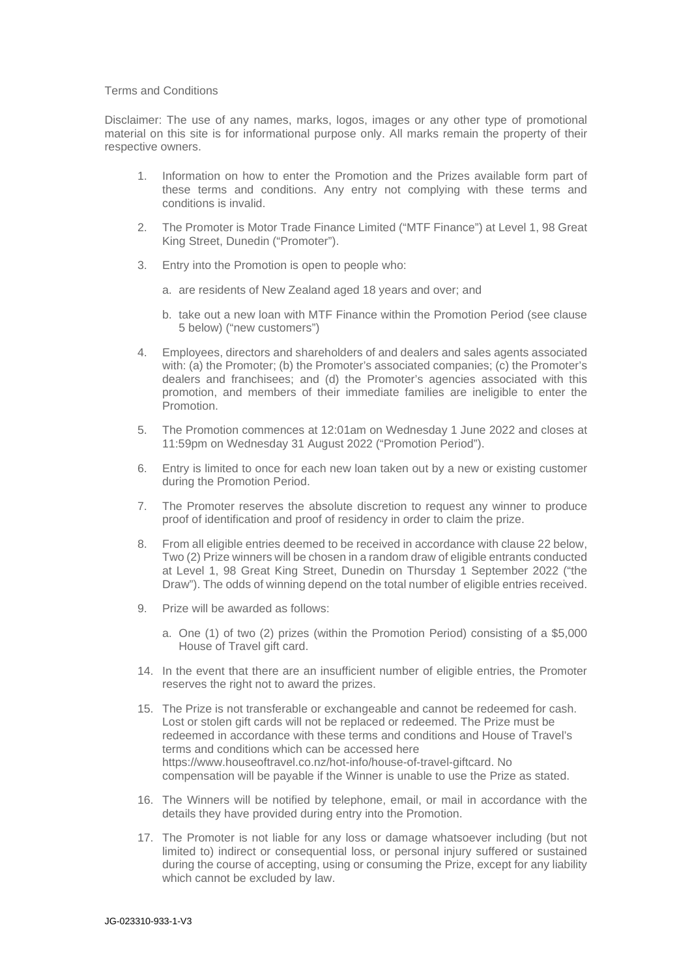## Terms and Conditions

Disclaimer: The use of any names, marks, logos, images or any other type of promotional material on this site is for informational purpose only. All marks remain the property of their respective owners.

- 1. Information on how to enter the Promotion and the Prizes available form part of these terms and conditions. Any entry not complying with these terms and conditions is invalid.
- 2. The Promoter is Motor Trade Finance Limited ("MTF Finance") at Level 1, 98 Great King Street, Dunedin ("Promoter").
- 3. Entry into the Promotion is open to people who:
	- a. are residents of New Zealand aged 18 years and over; and
	- b. take out a new loan with MTF Finance within the Promotion Period (see clause 5 below) ("new customers")
- 4. Employees, directors and shareholders of and dealers and sales agents associated with: (a) the Promoter; (b) the Promoter's associated companies; (c) the Promoter's dealers and franchisees; and (d) the Promoter's agencies associated with this promotion, and members of their immediate families are ineligible to enter the Promotion.
- 5. The Promotion commences at 12:01am on Wednesday 1 June 2022 and closes at 11:59pm on Wednesday 31 August 2022 ("Promotion Period").
- 6. Entry is limited to once for each new loan taken out by a new or existing customer during the Promotion Period.
- 7. The Promoter reserves the absolute discretion to request any winner to produce proof of identification and proof of residency in order to claim the prize.
- 8. From all eligible entries deemed to be received in accordance with clause 22 below, Two (2) Prize winners will be chosen in a random draw of eligible entrants conducted at Level 1, 98 Great King Street, Dunedin on Thursday 1 September 2022 ("the Draw"). The odds of winning depend on the total number of eligible entries received.
- 9. Prize will be awarded as follows:
	- a. One (1) of two (2) prizes (within the Promotion Period) consisting of a \$5,000 House of Travel gift card.
- 14. In the event that there are an insufficient number of eligible entries, the Promoter reserves the right not to award the prizes.
- 15. The Prize is not transferable or exchangeable and cannot be redeemed for cash. Lost or stolen gift cards will not be replaced or redeemed. The Prize must be redeemed in accordance with these terms and conditions and House of Travel's terms and conditions which can be accessed here https://www.houseoftravel.co.nz/hot-info/house-of-travel-giftcard. No compensation will be payable if the Winner is unable to use the Prize as stated.
- 16. The Winners will be notified by telephone, email, or mail in accordance with the details they have provided during entry into the Promotion.
- 17. The Promoter is not liable for any loss or damage whatsoever including (but not limited to) indirect or consequential loss, or personal injury suffered or sustained during the course of accepting, using or consuming the Prize, except for any liability which cannot be excluded by law.